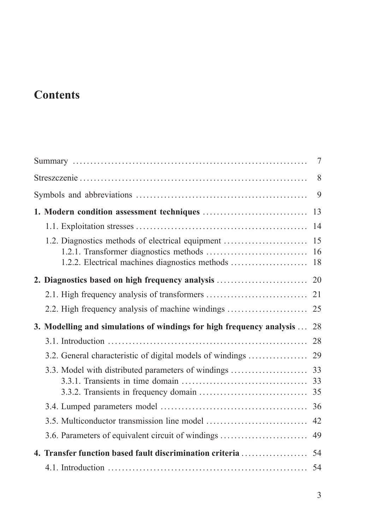## **Contents**

|                                                                      | $7\phantom{.0}$ |  |  |  |
|----------------------------------------------------------------------|-----------------|--|--|--|
|                                                                      |                 |  |  |  |
|                                                                      |                 |  |  |  |
|                                                                      | 13              |  |  |  |
|                                                                      | 14              |  |  |  |
|                                                                      |                 |  |  |  |
|                                                                      |                 |  |  |  |
|                                                                      |                 |  |  |  |
|                                                                      |                 |  |  |  |
|                                                                      |                 |  |  |  |
| 3. Modelling and simulations of windings for high frequency analysis | 28              |  |  |  |
|                                                                      |                 |  |  |  |
|                                                                      |                 |  |  |  |
|                                                                      |                 |  |  |  |
|                                                                      |                 |  |  |  |
|                                                                      | 42              |  |  |  |
| 3.6. Parameters of equivalent circuit of windings                    | 49              |  |  |  |
|                                                                      |                 |  |  |  |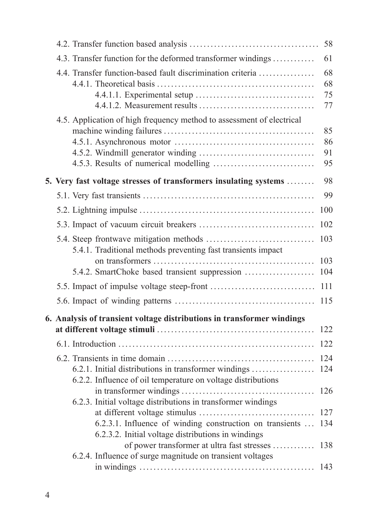|  |                                                                                                                                                                                | 58                   |
|--|--------------------------------------------------------------------------------------------------------------------------------------------------------------------------------|----------------------|
|  | 4.3. Transfer function for the deformed transformer windings                                                                                                                   | 61                   |
|  | 4.4. Transfer function-based fault discrimination criteria                                                                                                                     | 68<br>68<br>75<br>77 |
|  | 4.5. Application of high frequency method to assessment of electrical                                                                                                          | 85<br>86<br>91<br>95 |
|  | 5. Very fast voltage stresses of transformers insulating systems                                                                                                               | 98                   |
|  |                                                                                                                                                                                | 99                   |
|  |                                                                                                                                                                                | 100                  |
|  |                                                                                                                                                                                | 102                  |
|  | 5.4.1. Traditional methods preventing fast transients impact                                                                                                                   | 103                  |
|  | 5.4.2. SmartChoke based transient suppression                                                                                                                                  | 103<br>104           |
|  |                                                                                                                                                                                | 111                  |
|  |                                                                                                                                                                                | 115                  |
|  | 6. Analysis of transient voltage distributions in transformer windings                                                                                                         |                      |
|  |                                                                                                                                                                                | 122                  |
|  |                                                                                                                                                                                | 122                  |
|  | 6.2.1. Initial distributions in transformer windings<br>6.2.2. Influence of oil temperature on voltage distributions                                                           | 124<br>124           |
|  |                                                                                                                                                                                | 126                  |
|  | 6.2.3. Initial voltage distributions in transformer windings<br>6.2.3.1. Influence of winding construction on transients<br>6.2.3.2. Initial voltage distributions in windings | 127<br>134           |
|  | of power transformer at ultra fast stresses<br>6.2.4. Influence of surge magnitude on transient voltages                                                                       | 138                  |
|  |                                                                                                                                                                                | 143                  |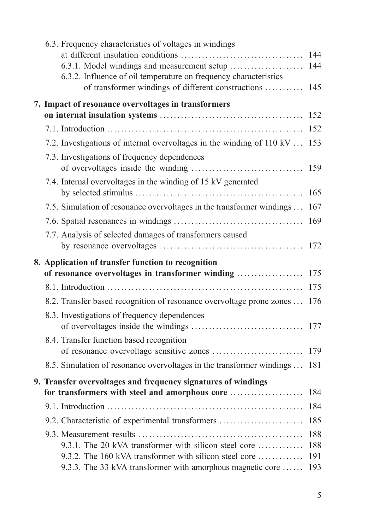| 6.3. Frequency characteristics of voltages in windings                                                          |            |
|-----------------------------------------------------------------------------------------------------------------|------------|
| 6.3.1. Model windings and measurement setup                                                                     | 144<br>144 |
| 6.3.2. Influence of oil temperature on frequency characteristics                                                |            |
| of transformer windings of different constructions                                                              | 145        |
| 7. Impact of resonance overvoltages in transformers                                                             |            |
|                                                                                                                 | 152        |
|                                                                                                                 | 152        |
| 7.2. Investigations of internal overvoltages in the winding of 110 kV                                           | 153        |
| 7.3. Investigations of frequency dependences                                                                    | 159        |
| 7.4. Internal overvoltages in the winding of 15 kV generated                                                    |            |
|                                                                                                                 | 165        |
| 7.5. Simulation of resonance overvoltages in the transformer windings                                           | 167        |
|                                                                                                                 | 169        |
| 7.7. Analysis of selected damages of transformers caused                                                        |            |
|                                                                                                                 |            |
|                                                                                                                 |            |
| 8. Application of transfer function to recognition<br>of resonance overvoltages in transformer winding          | 175        |
|                                                                                                                 | 175        |
| 8.2. Transfer based recognition of resonance overvoltage prone zones  176                                       |            |
| 8.3. Investigations of frequency dependences                                                                    |            |
|                                                                                                                 |            |
| 8.4. Transfer function based recognition                                                                        |            |
|                                                                                                                 |            |
| 8.5. Simulation of resonance overvoltages in the transformer windings  181                                      |            |
| 9. Transfer overvoltages and frequency signatures of windings                                                   |            |
|                                                                                                                 |            |
|                                                                                                                 | 184        |
| 9.2. Characteristic of experimental transformers                                                                | 185        |
|                                                                                                                 | 188        |
| 9.3.1. The 20 kVA transformer with silicon steel core<br>9.3.2. The 160 kVA transformer with silicon steel core | 188<br>191 |